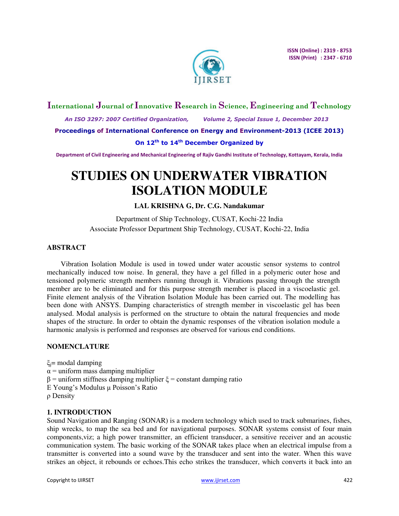

# **International Journal of Innovative Research in Science, Engineering and Technology**

 *An ISO 3297: 2007 Certified Organization, Volume 2, Special Issue 1, December 2013* 

**Proceedings of International Conference on Energy and Environment-2013 (ICEE 2013)** 

## **On 12th to 14th December Organized by**

**Department of Civil Engineering and Mechanical Engineering of Rajiv Gandhi Institute of Technology, Kottayam, Kerala, India** 

# **STUDIES ON UNDERWATER VIBRATION ISOLATION MODULE**

# **LAL KRISHNA G, Dr. C.G. Nandakumar**

Department of Ship Technology, CUSAT, Kochi-22 India Associate Professor Department Ship Technology, CUSAT, Kochi-22, India

# **ABSTRACT**

Vibration Isolation Module is used in towed under water acoustic sensor systems to control mechanically induced tow noise. In general, they have a gel filled in a polymeric outer hose and tensioned polymeric strength members running through it. Vibrations passing through the strength member are to be eliminated and for this purpose strength member is placed in a viscoelastic gel. Finite element analysis of the Vibration Isolation Module has been carried out. The modelling has been done with ANSYS. Damping characteristics of strength member in viscoelastic gel has been analysed. Modal analysis is performed on the structure to obtain the natural frequencies and mode shapes of the structure. In order to obtain the dynamic responses of the vibration isolation module a harmonic analysis is performed and responses are observed for various end conditions.

# **NOMENCLATURE**

ξj= modal damping  $\alpha$  = uniform mass damping multiplier  $β =$  uniform stiffness damping multiplier  $ξ =$  constant damping ratio E Young's Modulus μ Poisson's Ratio ρ Density

# **1. INTRODUCTION**

Sound Navigation and Ranging (SONAR) is a modern technology which used to track submarines, fishes, ship wrecks, to map the sea bed and for navigational purposes. SONAR systems consist of four main components,viz; a high power transmitter, an efficient transducer, a sensitive receiver and an acoustic communication system. The basic working of the SONAR takes place when an electrical impulse from a transmitter is converted into a sound wave by the transducer and sent into the water. When this wave strikes an object, it rebounds or echoes.This echo strikes the transducer, which converts it back into an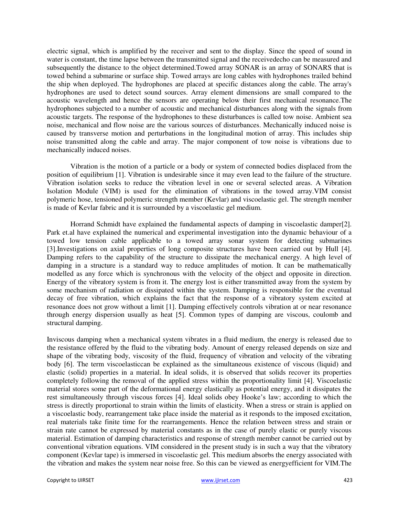electric signal, which is amplified by the receiver and sent to the display. Since the speed of sound in water is constant, the time lapse between the transmitted signal and the receivedecho can be measured and subsequently the distance to the object determined.Towed array SONAR is an array of SONARS that is towed behind a submarine or surface ship. Towed arrays are long cables with hydrophones trailed behind the ship when deployed. The hydrophones are placed at specific distances along the cable. The array's hydrophones are used to detect sound sources. Array element dimensions are small compared to the acoustic wavelength and hence the sensors are operating below their first mechanical resonance.The hydrophones subjected to a number of acoustic and mechanical disturbances along with the signals from acoustic targets. The response of the hydrophones to these disturbances is called tow noise. Ambient sea noise, mechanical and flow noise are the various sources of disturbances. Mechanically induced noise is caused by transverse motion and perturbations in the longitudinal motion of array. This includes ship noise transmitted along the cable and array. The major component of tow noise is vibrations due to mechanically induced noises.

Vibration is the motion of a particle or a body or system of connected bodies displaced from the position of equilibrium [1]. Vibration is undesirable since it may even lead to the failure of the structure. Vibration isolation seeks to reduce the vibration level in one or several selected areas. A Vibration Isolation Module (VIM) is used for the elimination of vibrations in the towed array.VIM consist polymeric hose, tensioned polymeric strength member (Kevlar) and viscoelastic gel. The strength member is made of Kevlar fabric and it is surrounded by a viscoelastic gel medium.

Horrand Schmidt have explained the fundamental aspects of damping in viscoelastic damper[2]. Park et.al have explained the numerical and experimental investigation into the dynamic behaviour of a towed low tension cable applicable to a towed array sonar system for detecting submarines [3].Investigations on axial properties of long composite structures have been carried out by Hull [4]. Damping refers to the capability of the structure to dissipate the mechanical energy. A high level of damping in a structure is a standard way to reduce amplitudes of motion. It can be mathematically modelled as any force which is synchronous with the velocity of the object and opposite in direction. Energy of the vibratory system is from it. The energy lost is either transmitted away from the system by some mechanism of radiation or dissipated within the system. Damping is responsible for the eventual decay of free vibration, which explains the fact that the response of a vibratory system excited at resonance does not grow without a limit [1]. Damping effectively controls vibration at or near resonance through energy dispersion usually as heat [5]. Common types of damping are viscous, coulomb and structural damping.

Inviscous damping when a mechanical system vibrates in a fluid medium, the energy is released due to the resistance offered by the fluid to the vibrating body. Amount of energy released depends on size and shape of the vibrating body, viscosity of the fluid, frequency of vibration and velocity of the vibrating body [6]. The term viscoelasticcan be explained as the simultaneous existence of viscous (liquid) and elastic (solid) properties in a material. In ideal solids, it is observed that solids recover its properties completely following the removal of the applied stress within the proportionality limit [4]. Viscoelastic material stores some part of the deformational energy elastically as potential energy, and it dissipates the rest simultaneously through viscous forces [4]. Ideal solids obey Hooke's law; according to which the stress is directly proportional to strain within the limits of elasticity. When a stress or strain is applied on a viscoelastic body, rearrangement take place inside the material as it responds to the imposed excitation, real materials take finite time for the rearrangements. Hence the relation between stress and strain or strain rate cannot be expressed by material constants as in the case of purely elastic or purely viscous material. Estimation of damping characteristics and response of strength member cannot be carried out by conventional vibration equations. VIM considered in the present study is in such a way that the vibratory component (Kevlar tape) is immersed in viscoelastic gel. This medium absorbs the energy associated with the vibration and makes the system near noise free. So this can be viewed as energyefficient for VIM.The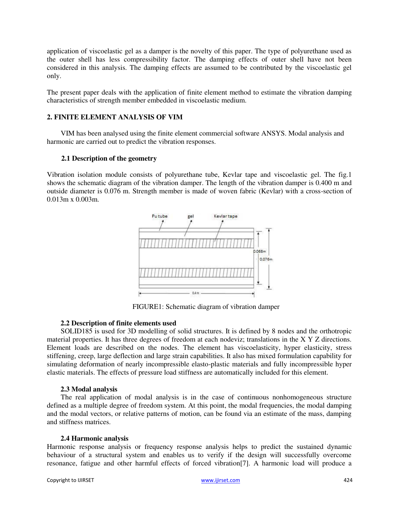application of viscoelastic gel as a damper is the novelty of this paper. The type of polyurethane used as the outer shell has less compressibility factor. The damping effects of outer shell have not been considered in this analysis. The damping effects are assumed to be contributed by the viscoelastic gel only.

The present paper deals with the application of finite element method to estimate the vibration damping characteristics of strength member embedded in viscoelastic medium.

# **2. FINITE ELEMENT ANALYSIS OF VIM**

VIM has been analysed using the finite element commercial software ANSYS. Modal analysis and harmonic are carried out to predict the vibration responses.

## **2.1 Description of the geometry**

Vibration isolation module consists of polyurethane tube, Kevlar tape and viscoelastic gel. The fig.1 shows the schematic diagram of the vibration damper. The length of the vibration damper is 0.400 m and outside diameter is 0.076 m. Strength member is made of woven fabric (Kevlar) with a cross-section of 0.013m x 0.003m.



FIGURE1: Schematic diagram of vibration damper

## **2.2 Description of finite elements used**

SOLID185 is used for 3D modelling of solid structures. It is defined by 8 nodes and the orthotropic material properties. It has three degrees of freedom at each nodeviz; translations in the X Y Z directions. Element loads are described on the nodes. The element has viscoelasticity, hyper elasticity, stress stiffening, creep, large deflection and large strain capabilities. It also has mixed formulation capability for simulating deformation of nearly incompressible elasto-plastic materials and fully incompressible hyper elastic materials. The effects of pressure load stiffness are automatically included for this element.

## **2.3 Modal analysis**

The real application of modal analysis is in the case of continuous nonhomogeneous structure defined as a multiple degree of freedom system. At this point, the modal frequencies, the modal damping and the modal vectors, or relative patterns of motion, can be found via an estimate of the mass, damping and stiffness matrices.

## **2.4 Harmonic analysis**

Harmonic response analysis or frequency response analysis helps to predict the sustained dynamic behaviour of a structural system and enables us to verify if the design will successfully overcome resonance, fatigue and other harmful effects of forced vibration[7]. A harmonic load will produce a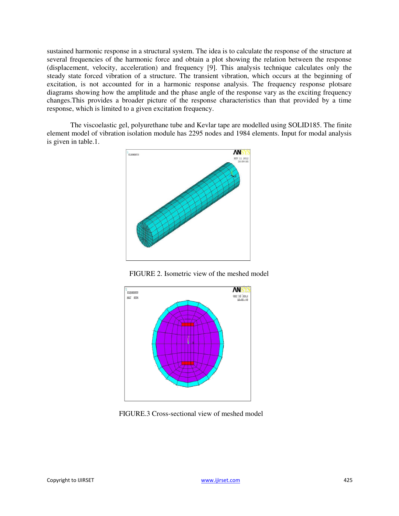sustained harmonic response in a structural system. The idea is to calculate the response of the structure at several frequencies of the harmonic force and obtain a plot showing the relation between the response (displacement, velocity, acceleration) and frequency [9]. This analysis technique calculates only the steady state forced vibration of a structure. The transient vibration, which occurs at the beginning of excitation, is not accounted for in a harmonic response analysis. The frequency response plotsare diagrams showing how the amplitude and the phase angle of the response vary as the exciting frequency changes.This provides a broader picture of the response characteristics than that provided by a time response, which is limited to a given excitation frequency.

The viscoelastic gel, polyurethane tube and Kevlar tape are modelled using SOLID185. The finite element model of vibration isolation module has 2295 nodes and 1984 elements. Input for modal analysis is given in table.1.







FIGURE.3 Cross-sectional view of meshed model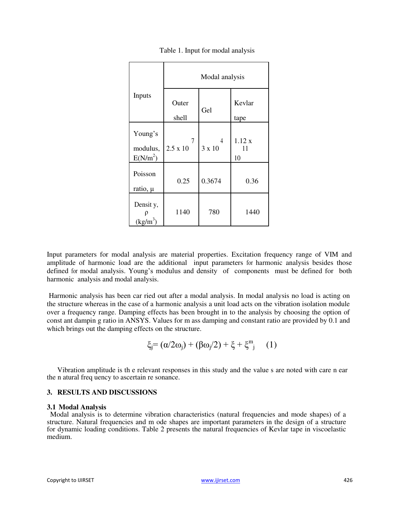| Inputs                  | Modal analysis  |        |                |  |
|-------------------------|-----------------|--------|----------------|--|
|                         | Outer<br>shell  | Gel    | Kevlar<br>tape |  |
| Young's                 | 7               | 4      | 1.12x          |  |
| modulus,<br>$E(N/m^2)$  | $2.5 \times 10$ | 3 x 10 | 11<br>10       |  |
| Poisson<br>ratio, µ     | 0.25            | 0.3674 | 0.36           |  |
| Densit y,<br>$(kg/m^3)$ | 1140            | 780    | 1440           |  |

Table 1. Input for modal analysis

Input parameters for modal analysis are material properties. Excitation frequency range of VIM and amplitude of harmonic load are the additional input parameters for harmonic analysis besides those defined for modal analysis. Young's modulus and density of components must be defined for both harmonic analysis and modal analysis.

Harmonic analysis has been car ried out after a modal analysis. In modal analysis no load is acting on the structure whereas in the case of a harmonic analysis a unit load acts on the vibration isolation module over a frequency range. Damping effects has been brought in to the analysis by choosing the option of const ant dampin g ratio in ANSYS. Values for m ass damping and constant ratio are provided by 0.1 and which brings out the damping effects on the structure.

$$
\xi_j = (\alpha/2\omega_j) + (\beta\omega_j/2) + \xi + \xi^m_j \quad (1)
$$

Vibration amplitude is th e relevant responses in this study and the value s are noted with care n ear the n atural freq uency to ascertain re sonance.

## **3. RESULTS AND DISCUSSIONS**

#### **3.1 Modal Analysis**

Modal analysis is to determine vibration characteristics (natural frequencies and mode shapes) of a structure. Natural frequencies and m ode shapes are important parameters in the design of a structure for dynamic loading conditions. Table 2 presents the natural frequencies of Kevlar tape in viscoelastic medium.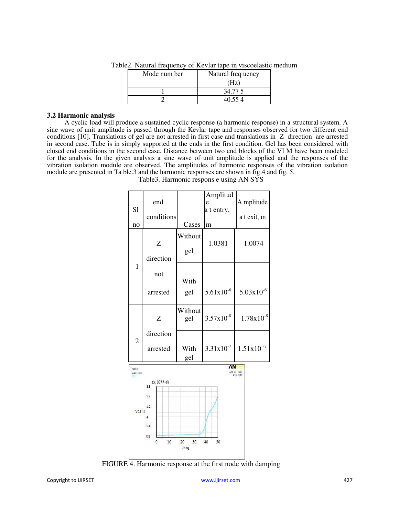| Mode num ber | Natural freq uency |  |
|--------------|--------------------|--|
|              | Hz)                |  |
|              | 34.77.5            |  |
|              | 10 55 4            |  |

Table2. Natural frequency of Kevlar tape in viscoelastic medium

#### **3.2 Harmonic analysis**

A cyclic load will produce a sustained cyclic response (a harmonic response) in a structural system. A sine wave of unit amplitude is passed through the Kevlar tape and responses observed for two different end conditions [10]. Translations of gel are not arrested in first case and translations in Z direction are arrested in second case. Tube is in simply supported at the ends in the first condition. Gel has been considered with closed end conditions in the second case. Distance between two end blocks of the VI M have been modeled for the analysis. In the given analysis a sine wave of unit amplitude is applied and the responses of the vibration isolation module are observed. The amplitudes of harmonic responses of the vibration isolation module are presented in Ta ble.3 and the harmonic responses are shown in fig.4 and fig. 5.

|                                                    |            |         | Amplitud              |                         |  |  |  |
|----------------------------------------------------|------------|---------|-----------------------|-------------------------|--|--|--|
| end                                                |            |         | e                     | A mplitude              |  |  |  |
| S1                                                 |            |         | a t entry,            |                         |  |  |  |
|                                                    | conditions |         |                       | a t exit, m             |  |  |  |
| no                                                 |            | Cases   | m                     |                         |  |  |  |
|                                                    |            | Without |                       |                         |  |  |  |
|                                                    | Z          |         | 1.0381                | 1.0074                  |  |  |  |
|                                                    |            | gel     |                       |                         |  |  |  |
|                                                    | direction  |         |                       |                         |  |  |  |
| 1                                                  | not        |         |                       |                         |  |  |  |
|                                                    |            | With    |                       |                         |  |  |  |
|                                                    |            |         |                       |                         |  |  |  |
|                                                    | arrested   | gel     | $5.61x10^{-6}$        | $5.03x10^{-6}$          |  |  |  |
|                                                    |            |         |                       |                         |  |  |  |
|                                                    | Z          | Without | $3.57 \times 10^{-8}$ | $1.78 \times 10^{-8}$   |  |  |  |
|                                                    |            | gel     |                       |                         |  |  |  |
|                                                    | direction  |         |                       |                         |  |  |  |
| $\overline{2}$                                     |            |         |                       |                         |  |  |  |
|                                                    | arrested   | With    | $3.31x10^{-7}$        | $1.51x10^{-7}$          |  |  |  |
|                                                    |            | gel     |                       |                         |  |  |  |
| POST26                                             |            |         | ΛΝ                    |                         |  |  |  |
| <b>AMPLITUDE</b>                                   |            |         |                       | OCT 29 2013<br>14:28:46 |  |  |  |
| $(x 10***-6)$<br>8.8                               |            |         |                       |                         |  |  |  |
|                                                    | 72         |         |                       |                         |  |  |  |
|                                                    | 5.6        |         |                       |                         |  |  |  |
| VALU                                               |            |         |                       |                         |  |  |  |
|                                                    |            |         |                       |                         |  |  |  |
|                                                    | 24         |         |                       |                         |  |  |  |
|                                                    | 0.8        |         |                       |                         |  |  |  |
| 10<br>20<br>$\mathbf{0}$<br>30<br>40<br>50<br>Freq |            |         |                       |                         |  |  |  |
|                                                    |            |         |                       |                         |  |  |  |

Table3. Harmonic respons e using AN SYS

FIGURE 4. Harmonic response at the first node with damping